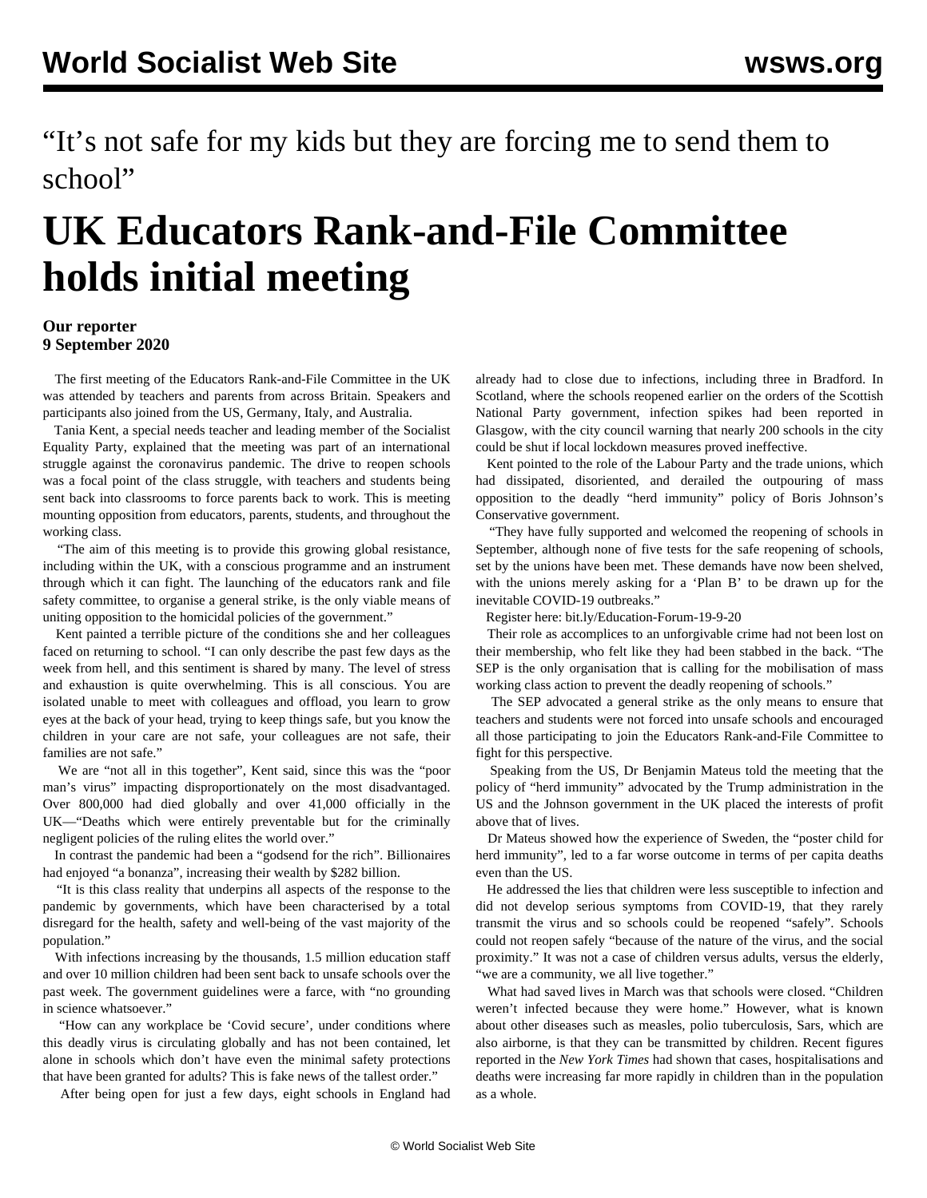"It's not safe for my kids but they are forcing me to send them to school"

## **UK Educators Rank-and-File Committee holds initial meeting**

## **Our reporter 9 September 2020**

 The first meeting of the Educators Rank-and-File Committee in the UK was attended by teachers and parents from across Britain. Speakers and participants also joined from the US, Germany, Italy, and Australia.

 Tania Kent, a special needs teacher and leading member of the Socialist Equality Party, explained that the meeting was part of an international struggle against the coronavirus pandemic. The drive to reopen schools was a focal point of the class struggle, with teachers and students being sent back into classrooms to force parents back to work. This is meeting mounting opposition from educators, parents, students, and throughout the working class.

 "The aim of this meeting is to provide this growing global resistance, including within the UK, with a conscious programme and an instrument through which it can fight. The launching of the educators rank and file safety committee, to organise a general strike, is the only viable means of uniting opposition to the homicidal policies of the government."

 Kent painted a terrible picture of the conditions she and her colleagues faced on returning to school. "I can only describe the past few days as the week from hell, and this sentiment is shared by many. The level of stress and exhaustion is quite overwhelming. This is all conscious. You are isolated unable to meet with colleagues and offload, you learn to grow eyes at the back of your head, trying to keep things safe, but you know the children in your care are not safe, your colleagues are not safe, their families are not safe."

 We are "not all in this together", Kent said, since this was the "poor man's virus" impacting disproportionately on the most disadvantaged. Over 800,000 had died globally and over 41,000 officially in the UK—"Deaths which were entirely preventable but for the criminally negligent policies of the ruling elites the world over."

 In contrast the pandemic had been a "godsend for the rich". Billionaires had enjoyed "a bonanza", increasing their wealth by \$282 billion.

 "It is this class reality that underpins all aspects of the response to the pandemic by governments, which have been characterised by a total disregard for the health, safety and well-being of the vast majority of the population."

 With infections increasing by the thousands, 1.5 million education staff and over 10 million children had been sent back to unsafe schools over the past week. The government guidelines were a farce, with "no grounding in science whatsoever."

 "How can any workplace be 'Covid secure', under conditions where this deadly virus is circulating globally and has not been contained, let alone in schools which don't have even the minimal safety protections that have been granted for adults? This is fake news of the tallest order."

After being open for just a few days, eight schools in England had

already had to close due to infections, including three in Bradford. In Scotland, where the schools reopened earlier on the orders of the Scottish National Party government, infection spikes had been reported in Glasgow, with the city council warning that nearly 200 schools in the city could be shut if local lockdown measures proved ineffective.

 Kent pointed to the role of the Labour Party and the trade unions, which had dissipated, disoriented, and derailed the outpouring of mass opposition to the deadly "herd immunity" policy of Boris Johnson's Conservative government.

 "They have fully supported and welcomed the reopening of schools in September, although none of five tests for the safe reopening of schools, set by the unions have been met. These demands have now been shelved, with the unions merely asking for a 'Plan B' to be drawn up for the inevitable COVID-19 outbreaks."

Register here: [bit.ly/Education-Forum-19-9-20](https://register.gotowebinar.com/register/1726926357399926285)

 Their role as accomplices to an unforgivable crime had not been lost on their membership, who felt like they had been stabbed in the back. "The SEP is the only organisation that is calling for the mobilisation of mass working class action to prevent the deadly reopening of schools."

 The SEP advocated a general strike as the only means to ensure that teachers and students were not forced into unsafe schools and encouraged all those participating to join the Educators Rank-and-File Committee to fight for this perspective.

 Speaking from the US, Dr Benjamin Mateus told the meeting that the policy of "herd immunity" advocated by the Trump administration in the US and the Johnson government in the UK placed the interests of profit above that of lives.

 Dr Mateus showed how the experience of Sweden, the "poster child for herd immunity", led to a far worse outcome in terms of per capita deaths even than the US.

 He addressed the lies that children were less susceptible to infection and did not develop serious symptoms from COVID-19, that they rarely transmit the virus and so schools could be reopened "safely". Schools could not reopen safely "because of the nature of the virus, and the social proximity." It was not a case of children versus adults, versus the elderly, "we are a community, we all live together."

 What had saved lives in March was that schools were closed. "Children weren't infected because they were home." However, what is known about other diseases such as measles, polio tuberculosis, Sars, which are also airborne, is that they can be transmitted by children. Recent figures reported in the *New York Times* had shown that cases, hospitalisations and deaths were increasing far more rapidly in children than in the population as a whole.